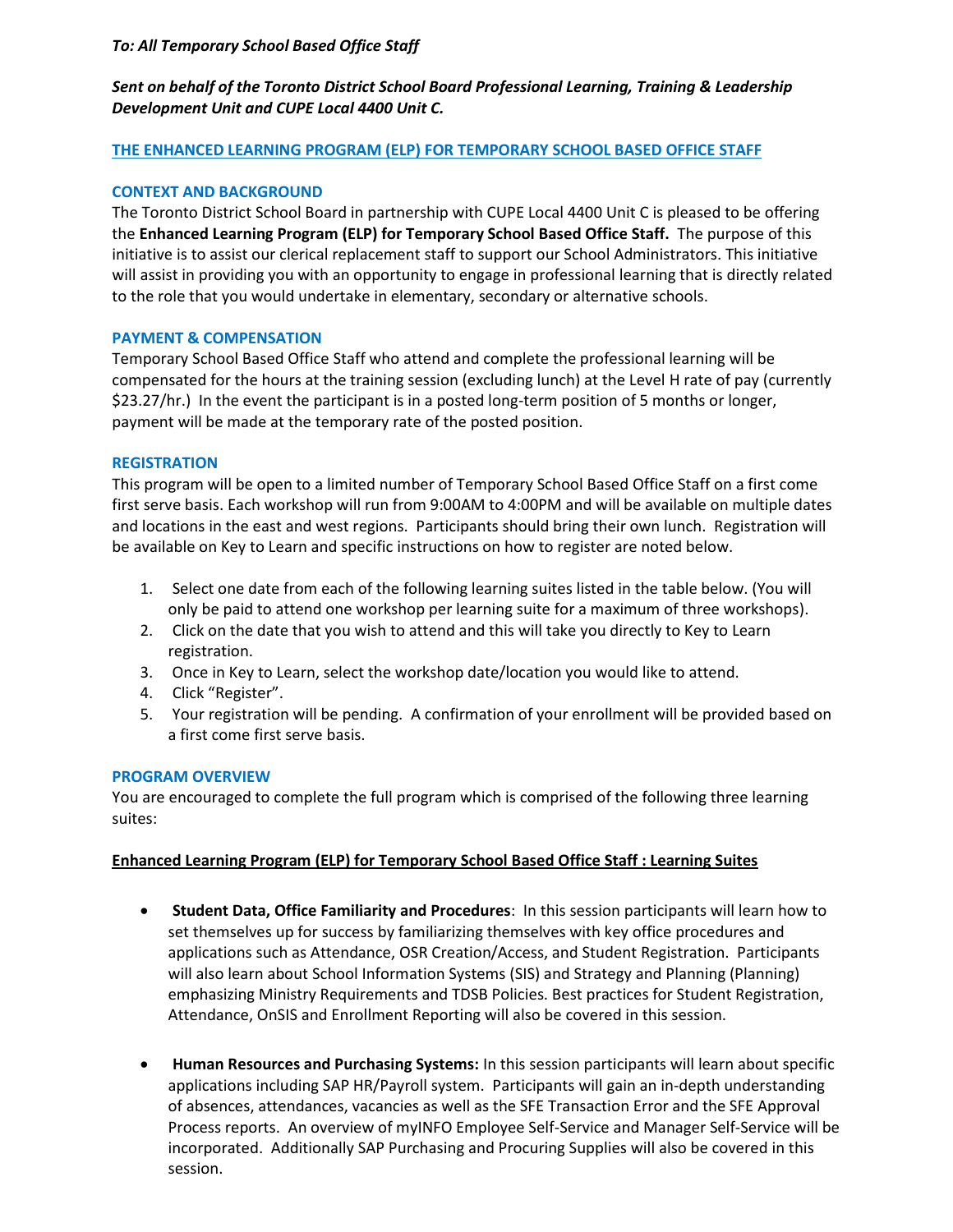## *To: All Temporary School Based Office Staff*

# *Sent on behalf of the Toronto District School Board Professional Learning, Training & Leadership Development Unit and CUPE Local 4400 Unit C.*

## **THE ENHANCED LEARNING PROGRAM (ELP) FOR TEMPORARY SCHOOL BASED OFFICE STAFF**

## **CONTEXT AND BACKGROUND**

The Toronto District School Board in partnership with CUPE Local 4400 Unit C is pleased to be offering the **Enhanced Learning Program (ELP) for Temporary School Based Office Staff.** The purpose of this initiative is to assist our clerical replacement staff to support our School Administrators. This initiative will assist in providing you with an opportunity to engage in professional learning that is directly related to the role that you would undertake in elementary, secondary or alternative schools.

#### **PAYMENT & COMPENSATION**

Temporary School Based Office Staff who attend and complete the professional learning will be compensated for the hours at the training session (excluding lunch) at the Level H rate of pay (currently \$23.27/hr.) In the event the participant is in a posted long-term position of 5 months or longer, payment will be made at the temporary rate of the posted position.

## **REGISTRATION**

This program will be open to a limited number of Temporary School Based Office Staff on a first come first serve basis. Each workshop will run from 9:00AM to 4:00PM and will be available on multiple dates and locations in the east and west regions. Participants should bring their own lunch. Registration will be available on Key to Learn and specific instructions on how to register are noted below.

- 1. Select one date from each of the following learning suites listed in the table below. (You will only be paid to attend one workshop per learning suite for a maximum of three workshops).
- 2. Click on the date that you wish to attend and this will take you directly to Key to Learn registration.
- 3. Once in Key to Learn, select the workshop date/location you would like to attend.
- 4. Click "Register".
- 5. Your registration will be pending. A confirmation of your enrollment will be provided based on a first come first serve basis.

#### **PROGRAM OVERVIEW**

You are encouraged to complete the full program which is comprised of the following three learning suites:

## **Enhanced Learning Program (ELP) for Temporary School Based Office Staff : Learning Suites**

- **Student Data, Office Familiarity and Procedures**: In this session participants will learn how to set themselves up for success by familiarizing themselves with key office procedures and applications such as Attendance, OSR Creation/Access, and Student Registration. Participants will also learn about School Information Systems (SIS) and Strategy and Planning (Planning) emphasizing Ministry Requirements and TDSB Policies. Best practices for Student Registration, Attendance, OnSIS and Enrollment Reporting will also be covered in this session.
- **Human Resources and Purchasing Systems:** In this session participants will learn about specific applications including SAP HR/Payroll system. Participants will gain an in-depth understanding of absences, attendances, vacancies as well as the SFE Transaction Error and the SFE Approval Process reports. An overview of myINFO Employee Self-Service and Manager Self-Service will be incorporated. Additionally SAP Purchasing and Procuring Supplies will also be covered in this session.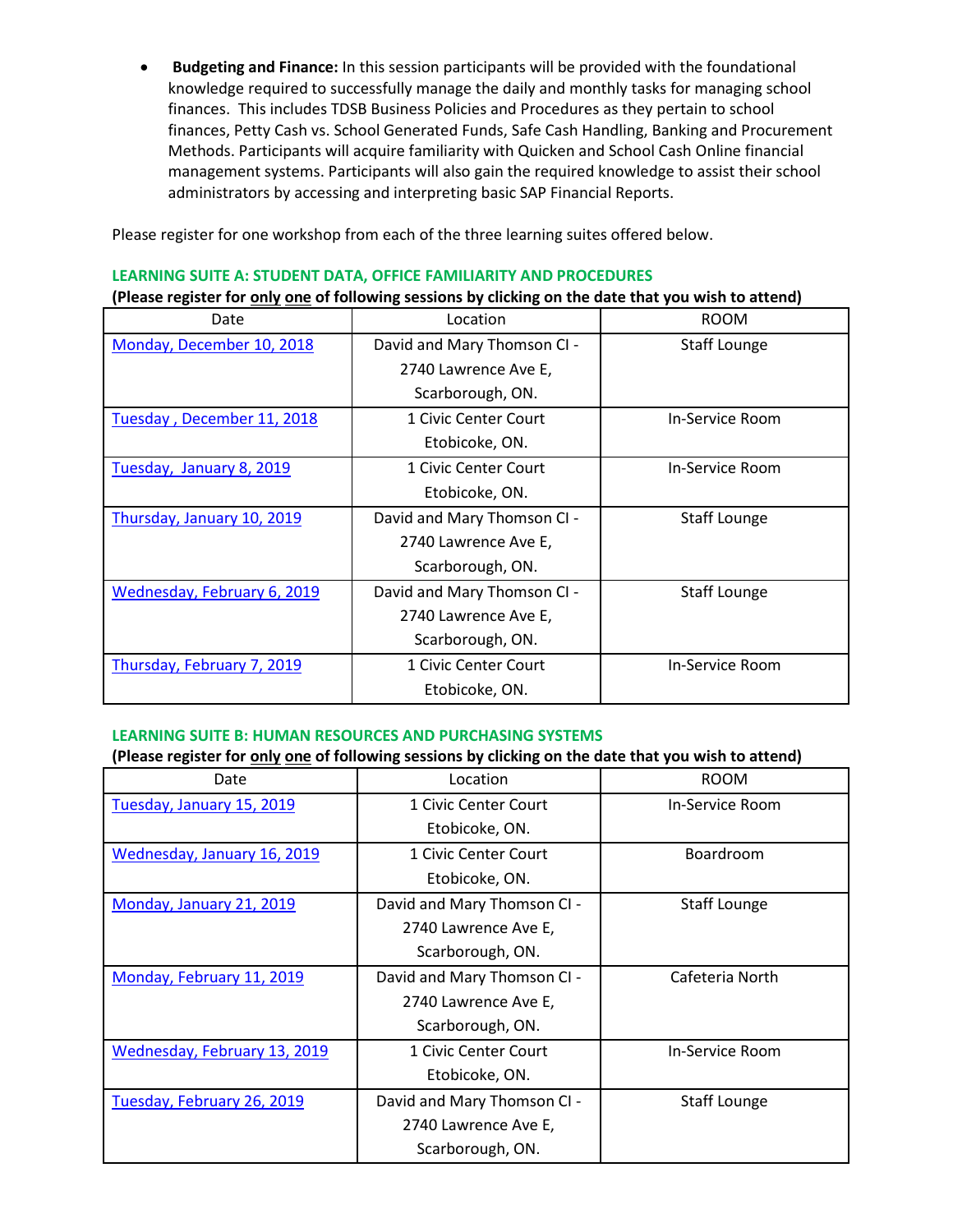**Budgeting and Finance:** In this session participants will be provided with the foundational knowledge required to successfully manage the daily and monthly tasks for managing school finances. This includes TDSB Business Policies and Procedures as they pertain to school finances, Petty Cash vs. School Generated Funds, Safe Cash Handling, Banking and Procurement Methods. Participants will acquire familiarity with Quicken and School Cash Online financial management systems. Participants will also gain the required knowledge to assist their school administrators by accessing and interpreting basic SAP Financial Reports.

Please register for one workshop from each of the three learning suites offered below.

# **LEARNING SUITE A: STUDENT DATA, OFFICE FAMILIARITY AND PROCEDURES**

**(Please register for only one of following sessions by clicking on the date that you wish to attend)**

| Date                        | Location                    | <b>ROOM</b>         |
|-----------------------------|-----------------------------|---------------------|
| Monday, December 10, 2018   | David and Mary Thomson CI - | <b>Staff Lounge</b> |
|                             | 2740 Lawrence Ave E,        |                     |
|                             | Scarborough, ON.            |                     |
| Tuesday, December 11, 2018  | 1 Civic Center Court        | In-Service Room     |
|                             | Etobicoke, ON.              |                     |
| Tuesday, January 8, 2019    | 1 Civic Center Court        | In-Service Room     |
|                             | Etobicoke, ON.              |                     |
| Thursday, January 10, 2019  | David and Mary Thomson CI - | <b>Staff Lounge</b> |
|                             | 2740 Lawrence Ave E,        |                     |
|                             | Scarborough, ON.            |                     |
| Wednesday, February 6, 2019 | David and Mary Thomson CI - | <b>Staff Lounge</b> |
|                             | 2740 Lawrence Ave E,        |                     |
|                             | Scarborough, ON.            |                     |
| Thursday, February 7, 2019  | 1 Civic Center Court        | In-Service Room     |
|                             | Etobicoke, ON.              |                     |

# **LEARNING SUITE B: HUMAN RESOURCES AND PURCHASING SYSTEMS**

## **(Please register for only one of following sessions by clicking on the date that you wish to attend)**

| Date                         | Location                    | <b>ROOM</b>         |
|------------------------------|-----------------------------|---------------------|
| Tuesday, January 15, 2019    | 1 Civic Center Court        | In-Service Room     |
|                              | Etobicoke, ON.              |                     |
| Wednesday, January 16, 2019  | 1 Civic Center Court        | Boardroom           |
|                              | Etobicoke, ON.              |                     |
| Monday, January 21, 2019     | David and Mary Thomson CI - | <b>Staff Lounge</b> |
|                              | 2740 Lawrence Ave E,        |                     |
|                              | Scarborough, ON.            |                     |
| Monday, February 11, 2019    | David and Mary Thomson CI - | Cafeteria North     |
|                              | 2740 Lawrence Ave E,        |                     |
|                              | Scarborough, ON.            |                     |
| Wednesday, February 13, 2019 | 1 Civic Center Court        | In-Service Room     |
|                              | Etobicoke, ON.              |                     |
| Tuesday, February 26, 2019   | David and Mary Thomson CI - | <b>Staff Lounge</b> |
|                              | 2740 Lawrence Ave E,        |                     |
|                              | Scarborough, ON.            |                     |